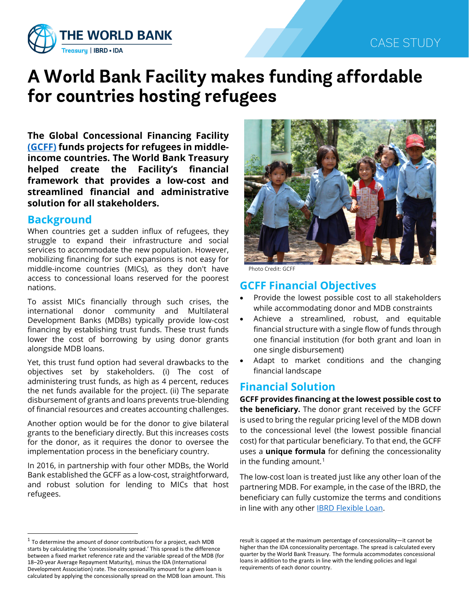

# **A World Bank Facility makes funding affordable for countries hosting refugees**

**The Global Concessional Financing Facility [\(GCFF\)](https://globalcff.org/) funds projects for refugees in middleincome countries. The World Bank Treasury helped create the Facility's financial framework that provides a low-cost and streamlined financial and administrative solution for all stakeholders.**

### **Background**

When countries get a sudden influx of refugees, they struggle to expand their infrastructure and social services to accommodate the new population. However, mobilizing financing for such expansions is not easy for middle-income countries (MICs), as they don't have access to concessional loans reserved for the poorest nations.

To assist MICs financially through such crises, the international donor community and Multilateral Development Banks (MDBs) typically provide low-cost financing by establishing trust funds. These trust funds lower the cost of borrowing by using donor grants alongside MDB loans.

Yet, this trust fund option had several drawbacks to the objectives set by stakeholders. (i) The cost of administering trust funds, as high as 4 percent, reduces the net funds available for the project. (ii) The separate disbursement of grants and loans prevents true-blending of financial resources and creates accounting challenges.

Another option would be for the donor to give bilateral grants to the beneficiary directly. But this increases costs for the donor, as it requires the donor to oversee the implementation process in the beneficiary country.

In 2016, in partnership with four other MDBs, the World Bank established the GCFF as a low-cost, straightforward, and robust solution for lending to MICs that host refugees.



Photo Credit: GCFF

# **GCFF Financial Objectives**

- Provide the lowest possible cost to all stakeholders while accommodating donor and MDB constraints
- Achieve a streamlined, robust, and equitable financial structure with a single flow of funds through one financial institution (for both grant and loan in one single disbursement)
- Adapt to market conditions and the changing financial landscape

## **Financial Solution**

**GCFF provides financing at the lowest possible cost to the beneficiary.** The donor grant received by the GCFF is used to bring the regular pricing level of the MDB down to the concessional level (the lowest possible financial cost) for that particular beneficiary. To that end, the GCFF uses a **unique formula** for defining the concessionality in the funding amount.<sup>[1](#page-0-0)</sup>

The low-cost loan is treated just like any other loan of the partnering MDB. For example, in the case of the IBRD, the beneficiary can fully customize the terms and conditions in line with any other **IBRD Flexible Loan**.

result is capped at the maximum percentage of concessionality—it cannot be higher than the IDA concessionality percentage. The spread is calculated every quarter by the World Bank Treasury. The formula accommodates concessional loans in addition to the grants in line with the lending policies and legal requirements of each donor country.

<span id="page-0-0"></span> $1$  To determine the amount of donor contributions for a project, each MDB starts by calculating the 'concessionality spread.' This spread is the difference between a fixed market reference rate and the variable spread of the MDB (for 18–20-year Average Repayment Maturity), minus the IDA (International Development Association) rate. The concessionality amount for a given loan is calculated by applying the concessionally spread on the MDB loan amount. This